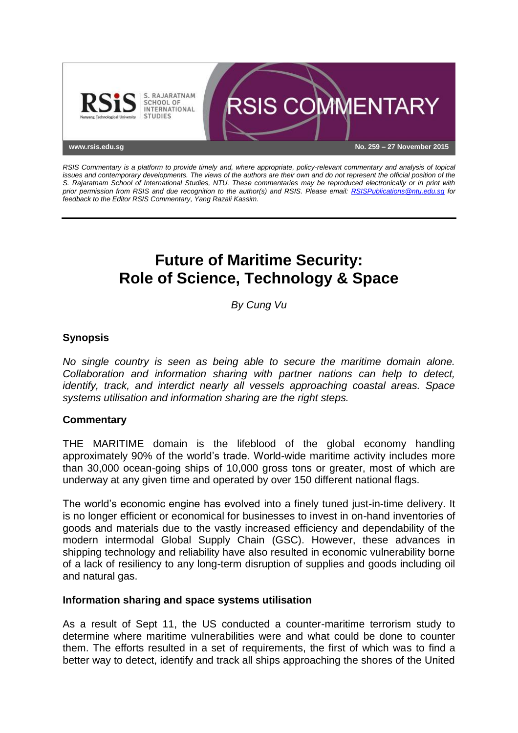

*RSIS Commentary is a platform to provide timely and, where appropriate, policy-relevant commentary and analysis of topical issues and contemporary developments. The views of the authors are their own and do not represent the official position of the S. Rajaratnam School of International Studies, NTU. These commentaries may be reproduced electronically or in print with prior permission from RSIS and due recognition to the author(s) and RSIS. Please email: [RSISPublications@ntu.edu.sg](mailto:RSISPublications@ntu.edu.sg) for feedback to the Editor RSIS Commentary, Yang Razali Kassim.*

# **Future of Maritime Security: Role of Science, Technology & Space**

*By Cung Vu*

## **Synopsis**

*No single country is seen as being able to secure the maritime domain alone. Collaboration and information sharing with partner nations can help to detect, identify, track, and interdict nearly all vessels approaching coastal areas. Space systems utilisation and information sharing are the right steps.*

## **Commentary**

THE MARITIME domain is the lifeblood of the global economy handling approximately 90% of the world's trade. World-wide maritime activity includes more than 30,000 ocean-going ships of 10,000 gross tons or greater, most of which are underway at any given time and operated by over 150 different national flags.

The world's economic engine has evolved into a finely tuned just-in-time delivery. It is no longer efficient or economical for businesses to invest in on-hand inventories of goods and materials due to the vastly increased efficiency and dependability of the modern intermodal Global Supply Chain (GSC). However, these advances in shipping technology and reliability have also resulted in economic vulnerability borne of a lack of resiliency to any long-term disruption of supplies and goods including oil and natural gas.

### **Information sharing and space systems utilisation**

As a result of Sept 11, the US conducted a counter-maritime terrorism study to determine where maritime vulnerabilities were and what could be done to counter them. The efforts resulted in a set of requirements, the first of which was to find a better way to detect, identify and track all ships approaching the shores of the United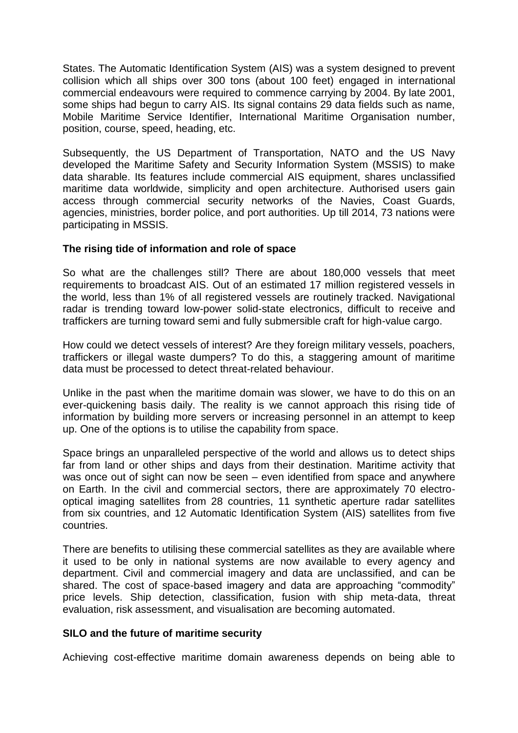States. The Automatic Identification System (AIS) was a system designed to prevent collision which all ships over 300 tons (about 100 feet) engaged in international commercial endeavours were required to commence carrying by 2004. By late 2001, some ships had begun to carry AIS. Its signal contains 29 data fields such as name, Mobile Maritime Service Identifier, International Maritime Organisation number, position, course, speed, heading, etc.

Subsequently, the US Department of Transportation, NATO and the US Navy developed the Maritime Safety and Security Information System (MSSIS) to make data sharable. Its features include commercial AIS equipment, shares unclassified maritime data worldwide, simplicity and open architecture. Authorised users gain access through commercial security networks of the Navies, Coast Guards, agencies, ministries, border police, and port authorities. Up till 2014, 73 nations were participating in MSSIS.

### **The rising tide of information and role of space**

So what are the challenges still? There are about 180,000 vessels that meet requirements to broadcast AIS. Out of an estimated 17 million registered vessels in the world, less than 1% of all registered vessels are routinely tracked. Navigational radar is trending toward low-power solid-state electronics, difficult to receive and traffickers are turning toward semi and fully submersible craft for high-value cargo.

How could we detect vessels of interest? Are they foreign military vessels, poachers, traffickers or illegal waste dumpers? To do this, a staggering amount of maritime data must be processed to detect threat-related behaviour.

Unlike in the past when the maritime domain was slower, we have to do this on an ever-quickening basis daily. The reality is we cannot approach this rising tide of information by building more servers or increasing personnel in an attempt to keep up. One of the options is to utilise the capability from space.

Space brings an unparalleled perspective of the world and allows us to detect ships far from land or other ships and days from their destination. Maritime activity that was once out of sight can now be seen – even identified from space and anywhere on Earth. In the civil and commercial sectors, there are approximately 70 electrooptical imaging satellites from 28 countries, 11 synthetic aperture radar satellites from six countries, and 12 Automatic Identification System (AIS) satellites from five countries.

There are benefits to utilising these commercial satellites as they are available where it used to be only in national systems are now available to every agency and department. Civil and commercial imagery and data are unclassified, and can be shared. The cost of space-based imagery and data are approaching "commodity" price levels. Ship detection, classification, fusion with ship meta-data, threat evaluation, risk assessment, and visualisation are becoming automated.

#### **SILO and the future of maritime security**

Achieving cost-effective maritime domain awareness depends on being able to